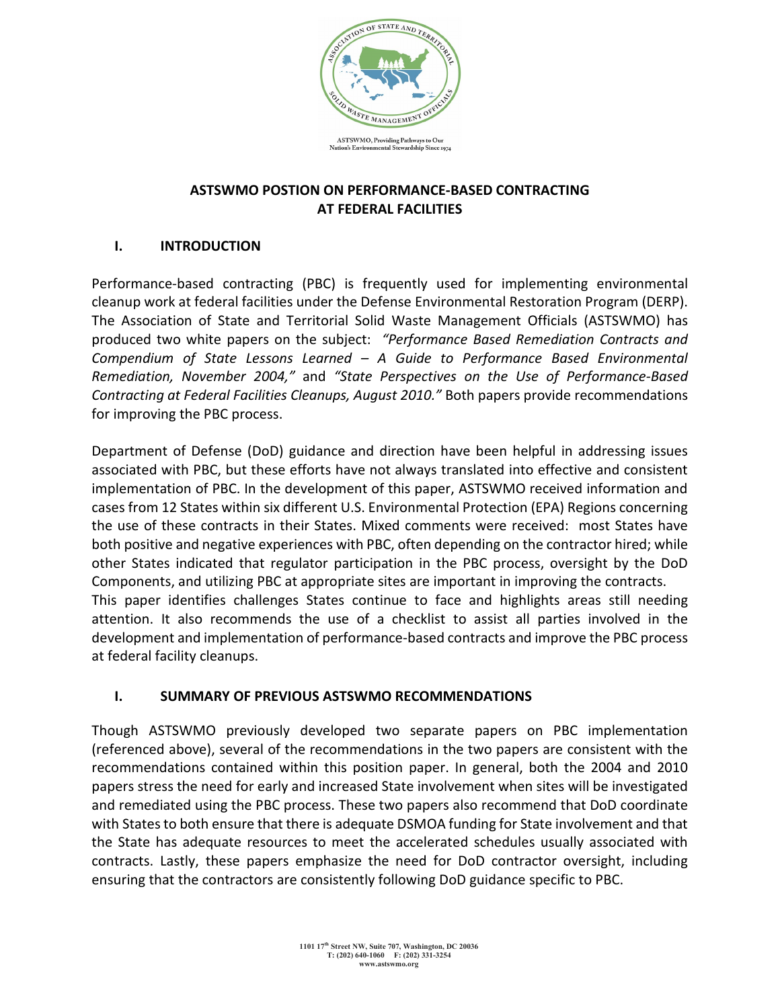

### **ASTSWMO POSTION ON PERFORMANCE-BASED CONTRACTING AT FEDERAL FACILITIES**

# **I. INTRODUCTION**

Performance-based contracting (PBC) is frequently used for implementing environmental cleanup work at federal facilities under the Defense Environmental Restoration Program (DERP). The Association of State and Territorial Solid Waste Management Officials (ASTSWMO) has produced two white papers on the subject: *"Performance Based Remediation Contracts and Compendium of State Lessons Learned – A Guide to Performance Based Environmental Remediation, November 2004,"* and *"State Perspectives on the Use of Performance-Based Contracting at Federal Facilities Cleanups, August 2010."* Both papers provide recommendations for improving the PBC process.

Department of Defense (DoD) guidance and direction have been helpful in addressing issues associated with PBC, but these efforts have not always translated into effective and consistent implementation of PBC. In the development of this paper, ASTSWMO received information and cases from 12 States within six different U.S. Environmental Protection (EPA) Regions concerning the use of these contracts in their States. Mixed comments were received: most States have both positive and negative experiences with PBC, often depending on the contractor hired; while other States indicated that regulator participation in the PBC process, oversight by the DoD Components, and utilizing PBC at appropriate sites are important in improving the contracts. This paper identifies challenges States continue to face and highlights areas still needing attention. It also recommends the use of a checklist to assist all parties involved in the development and implementation of performance-based contracts and improve the PBC process at federal facility cleanups.

### **I. SUMMARY OF PREVIOUS ASTSWMO RECOMMENDATIONS**

Though ASTSWMO previously developed two separate papers on PBC implementation (referenced above), several of the recommendations in the two papers are consistent with the recommendations contained within this position paper. In general, both the 2004 and 2010 papers stress the need for early and increased State involvement when sites will be investigated and remediated using the PBC process. These two papers also recommend that DoD coordinate with States to both ensure that there is adequate DSMOA funding for State involvement and that the State has adequate resources to meet the accelerated schedules usually associated with contracts. Lastly, these papers emphasize the need for DoD contractor oversight, including ensuring that the contractors are consistently following DoD guidance specific to PBC.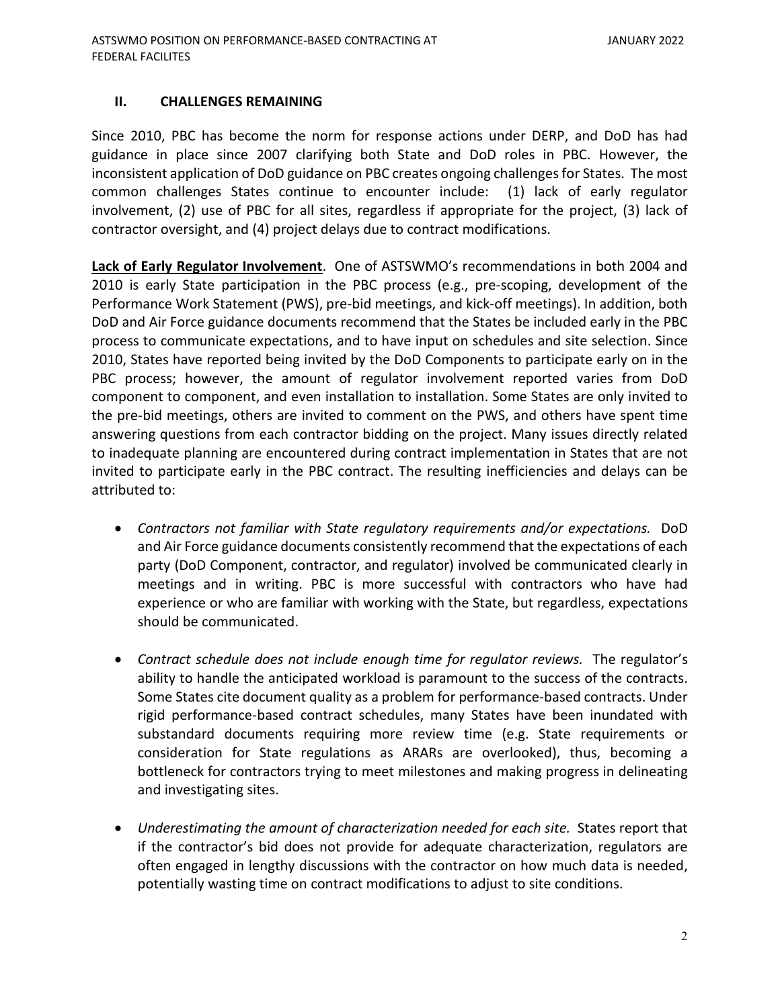#### **II. CHALLENGES REMAINING**

Since 2010, PBC has become the norm for response actions under DERP, and DoD has had guidance in place since 2007 clarifying both State and DoD roles in PBC. However, the inconsistent application of DoD guidance on PBC creates ongoing challenges for States. The most common challenges States continue to encounter include: (1) lack of early regulator involvement, (2) use of PBC for all sites, regardless if appropriate for the project, (3) lack of contractor oversight, and (4) project delays due to contract modifications.

**Lack of Early Regulator Involvement**. One of ASTSWMO's recommendations in both 2004 and 2010 is early State participation in the PBC process (e.g., pre-scoping, development of the Performance Work Statement (PWS), pre-bid meetings, and kick-off meetings). In addition, both DoD and Air Force guidance documents recommend that the States be included early in the PBC process to communicate expectations, and to have input on schedules and site selection. Since 2010, States have reported being invited by the DoD Components to participate early on in the PBC process; however, the amount of regulator involvement reported varies from DoD component to component, and even installation to installation. Some States are only invited to the pre-bid meetings, others are invited to comment on the PWS, and others have spent time answering questions from each contractor bidding on the project. Many issues directly related to inadequate planning are encountered during contract implementation in States that are not invited to participate early in the PBC contract. The resulting inefficiencies and delays can be attributed to:

- *Contractors not familiar with State regulatory requirements and/or expectations.* DoD and Air Force guidance documents consistently recommend that the expectations of each party (DoD Component, contractor, and regulator) involved be communicated clearly in meetings and in writing. PBC is more successful with contractors who have had experience or who are familiar with working with the State, but regardless, expectations should be communicated.
- *Contract schedule does not include enough time for regulator reviews.* The regulator's ability to handle the anticipated workload is paramount to the success of the contracts. Some States cite document quality as a problem for performance-based contracts. Under rigid performance-based contract schedules, many States have been inundated with substandard documents requiring more review time (e.g. State requirements or consideration for State regulations as ARARs are overlooked), thus, becoming a bottleneck for contractors trying to meet milestones and making progress in delineating and investigating sites.
- *Underestimating the amount of characterization needed for each site.* States report that if the contractor's bid does not provide for adequate characterization, regulators are often engaged in lengthy discussions with the contractor on how much data is needed, potentially wasting time on contract modifications to adjust to site conditions.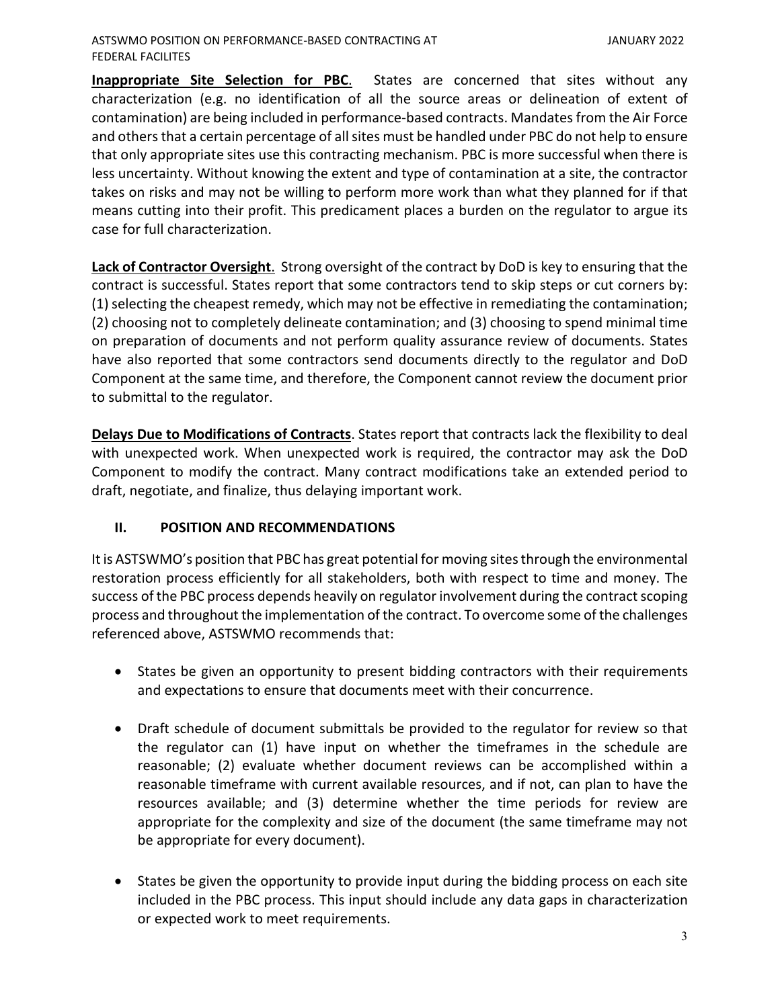**Inappropriate Site Selection for PBC**. States are concerned that sites without any characterization (e.g. no identification of all the source areas or delineation of extent of contamination) are being included in performance-based contracts. Mandates from the Air Force and others that a certain percentage of all sites must be handled under PBC do not help to ensure that only appropriate sites use this contracting mechanism. PBC is more successful when there is less uncertainty. Without knowing the extent and type of contamination at a site, the contractor takes on risks and may not be willing to perform more work than what they planned for if that means cutting into their profit. This predicament places a burden on the regulator to argue its case for full characterization.

**Lack of Contractor Oversight**.Strong oversight of the contract by DoD is key to ensuring that the contract is successful. States report that some contractors tend to skip steps or cut corners by: (1) selecting the cheapest remedy, which may not be effective in remediating the contamination; (2) choosing not to completely delineate contamination; and (3) choosing to spend minimal time on preparation of documents and not perform quality assurance review of documents. States have also reported that some contractors send documents directly to the regulator and DoD Component at the same time, and therefore, the Component cannot review the document prior to submittal to the regulator.

**Delays Due to Modifications of Contracts**. States report that contracts lack the flexibility to deal with unexpected work. When unexpected work is required, the contractor may ask the DoD Component to modify the contract. Many contract modifications take an extended period to draft, negotiate, and finalize, thus delaying important work.

#### **II. POSITION AND RECOMMENDATIONS**

It is ASTSWMO's position that PBC has great potential for moving sites through the environmental restoration process efficiently for all stakeholders, both with respect to time and money. The success of the PBC process depends heavily on regulator involvement during the contract scoping process and throughout the implementation of the contract. To overcome some of the challenges referenced above, ASTSWMO recommends that:

- States be given an opportunity to present bidding contractors with their requirements and expectations to ensure that documents meet with their concurrence.
- Draft schedule of document submittals be provided to the regulator for review so that the regulator can (1) have input on whether the timeframes in the schedule are reasonable; (2) evaluate whether document reviews can be accomplished within a reasonable timeframe with current available resources, and if not, can plan to have the resources available; and (3) determine whether the time periods for review are appropriate for the complexity and size of the document (the same timeframe may not be appropriate for every document).
- States be given the opportunity to provide input during the bidding process on each site included in the PBC process. This input should include any data gaps in characterization or expected work to meet requirements.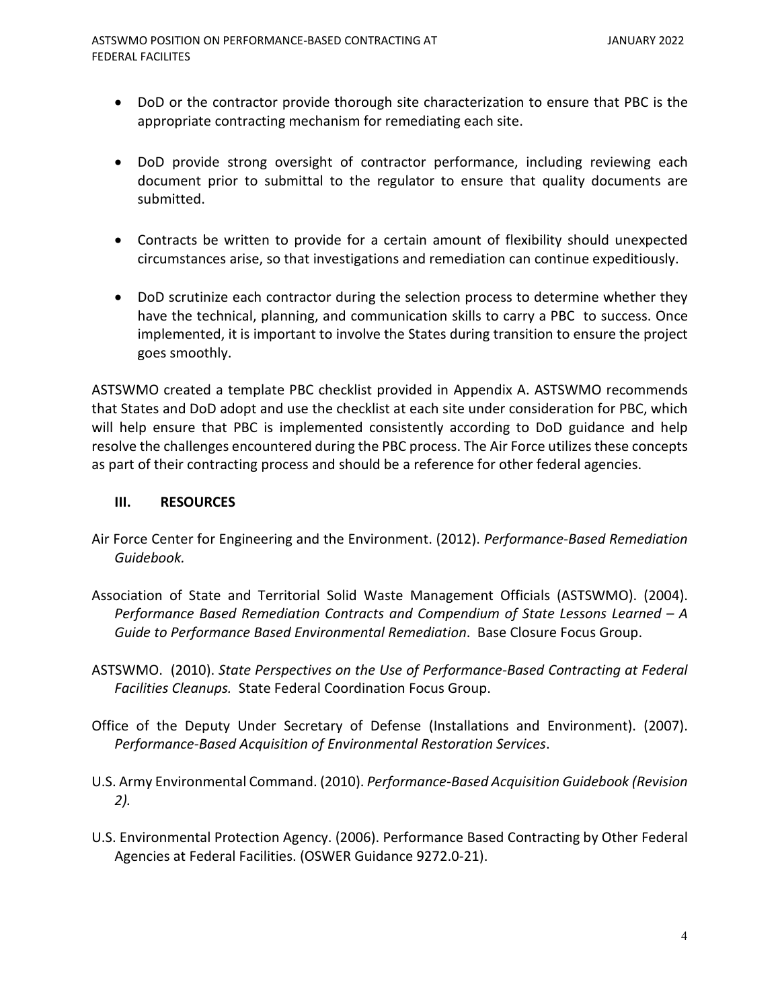- DoD or the contractor provide thorough site characterization to ensure that PBC is the appropriate contracting mechanism for remediating each site.
- DoD provide strong oversight of contractor performance, including reviewing each document prior to submittal to the regulator to ensure that quality documents are submitted.
- Contracts be written to provide for a certain amount of flexibility should unexpected circumstances arise, so that investigations and remediation can continue expeditiously.
- DoD scrutinize each contractor during the selection process to determine whether they have the technical, planning, and communication skills to carry a PBC to success. Once implemented, it is important to involve the States during transition to ensure the project goes smoothly.

ASTSWMO created a template PBC checklist provided in Appendix A. ASTSWMO recommends that States and DoD adopt and use the checklist at each site under consideration for PBC, which will help ensure that PBC is implemented consistently according to DoD guidance and help resolve the challenges encountered during the PBC process. The Air Force utilizes these concepts as part of their contracting process and should be a reference for other federal agencies.

#### **III. RESOURCES**

- Air Force Center for Engineering and the Environment. (2012). *Performance-Based Remediation Guidebook.*
- Association of State and Territorial Solid Waste Management Officials (ASTSWMO). (2004). *Performance Based Remediation Contracts and Compendium of State Lessons Learned – A Guide to Performance Based Environmental Remediation*. Base Closure Focus Group.
- ASTSWMO. (2010). *State Perspectives on the Use of Performance-Based Contracting at Federal Facilities Cleanups.* State Federal Coordination Focus Group.
- Office of the Deputy Under Secretary of Defense (Installations and Environment). (2007). *Performance-Based Acquisition of Environmental Restoration Services*.
- U.S. Army Environmental Command. (2010). *Performance-Based Acquisition Guidebook (Revision 2).*
- U.S. Environmental Protection Agency. (2006). Performance Based Contracting by Other Federal Agencies at Federal Facilities. (OSWER Guidance 9272.0-21).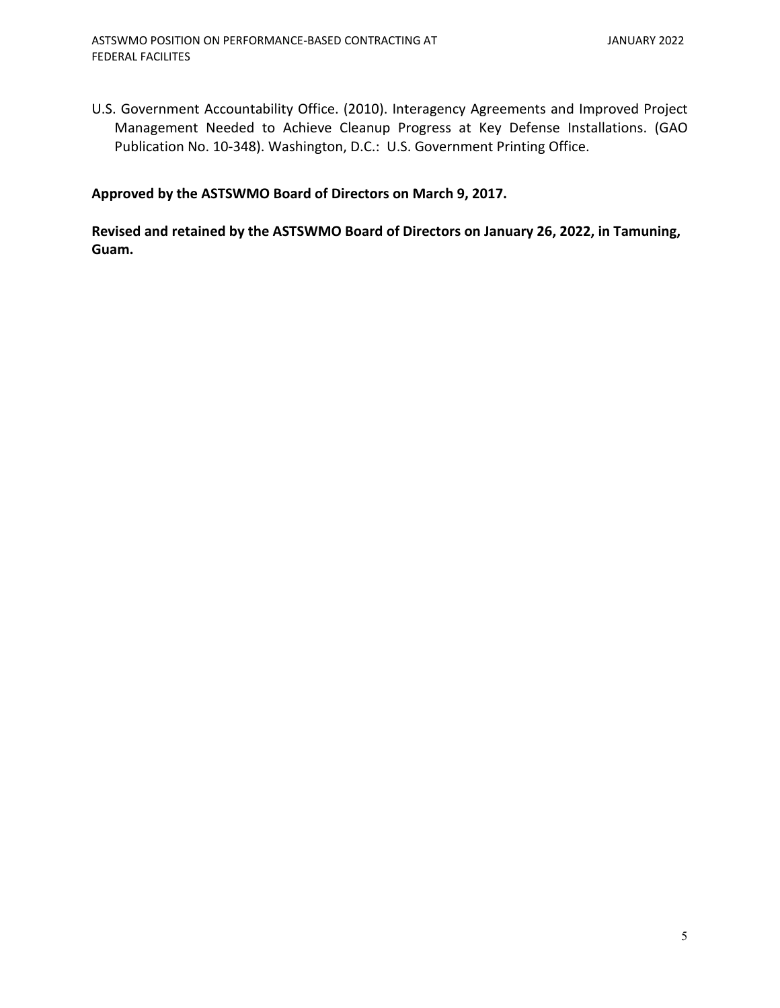U.S. Government Accountability Office. (2010). Interagency Agreements and Improved Project Management Needed to Achieve Cleanup Progress at Key Defense Installations. (GAO Publication No. 10-348). Washington, D.C.: U.S. Government Printing Office.

# **Approved by the ASTSWMO Board of Directors on March 9, 2017.**

**Revised and retained by the ASTSWMO Board of Directors on January 26, 2022, in Tamuning, Guam.**